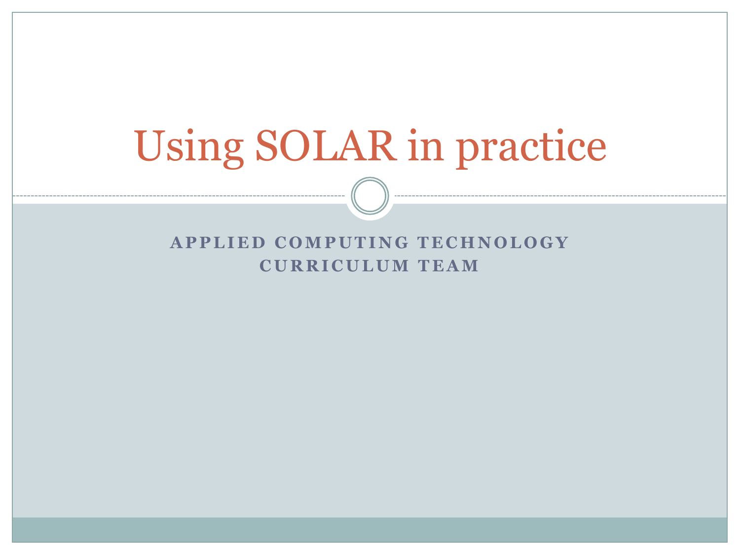# Using SOLAR in practice

#### **APPLIED COMPUTING TECHNOLOGY CURRICULUM TEAM**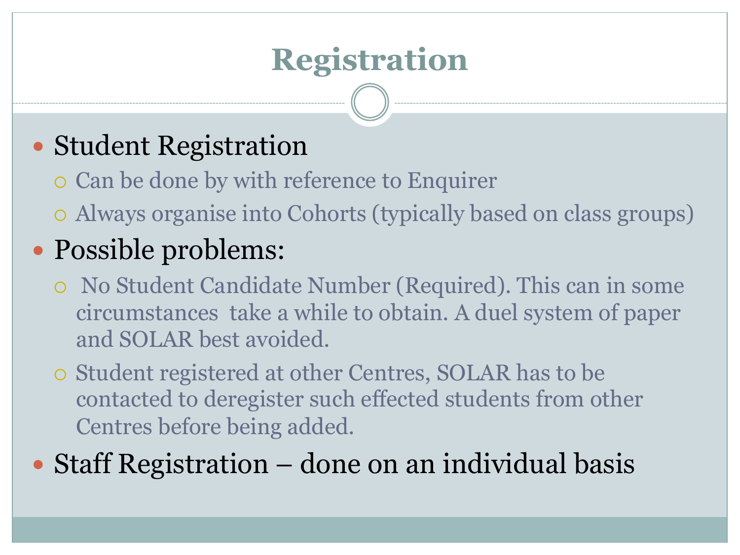## **Registration**

#### • Student Registration

- ¡ Can be done by with reference to Enquirer
- ¡ Always organise into Cohorts (typically based on class groups)

### • Possible problems:

- ¡ No Student Candidate Number (Required). This can in some circumstances take a while to obtain. A duel system of paper and SOLAR best avoided.
- ¡ Student registered at other Centres, SOLAR has to be contacted to deregister such effected students from other Centres before being added.

• Staff Registration – done on an individual basis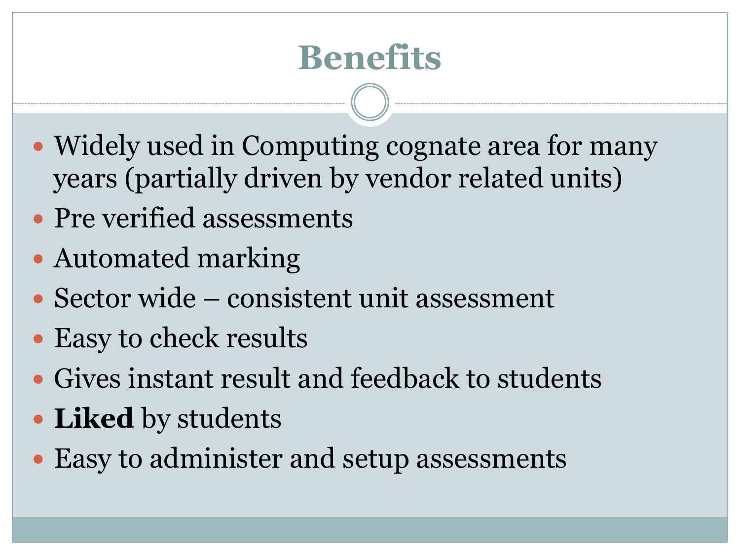## **Benefits**

- Widely used in Computing cognate area for many years (partially driven by vendor related units)
- Pre verified assessments
- Automated marking
- Sector wide consistent unit assessment
- Easy to check results
- Gives instant result and feedback to students
- **Liked** by students
- Easy to administer and setup assessments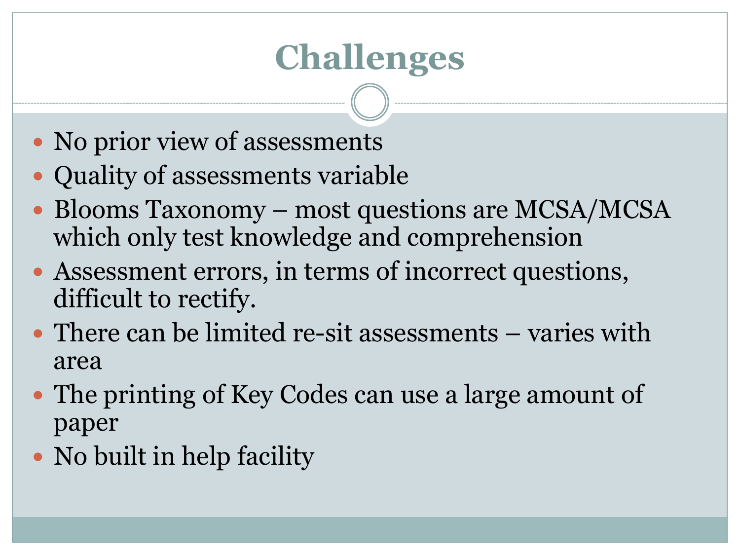## **Challenges**

- No prior view of assessments
- Quality of assessments variable
- Blooms Taxonomy most questions are MCSA/MCSA which only test knowledge and comprehension
- Assessment errors, in terms of incorrect questions, difficult to rectify.
- There can be limited re-sit assessments varies with area
- The printing of Key Codes can use a large amount of paper
- No built in help facility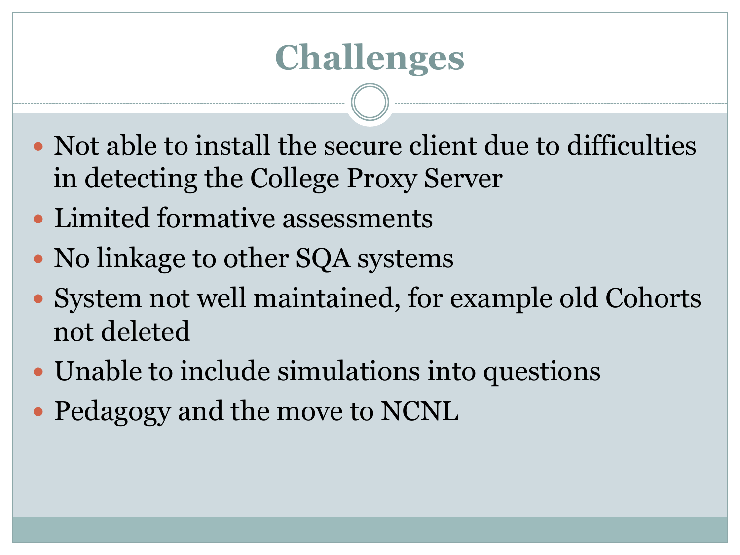## **Challenges**

- Not able to install the secure client due to difficulties in detecting the College Proxy Server
- Limited formative assessments
- No linkage to other SQA systems
- System not well maintained, for example old Cohorts not deleted
- Unable to include simulations into questions
- Pedagogy and the move to NCNL